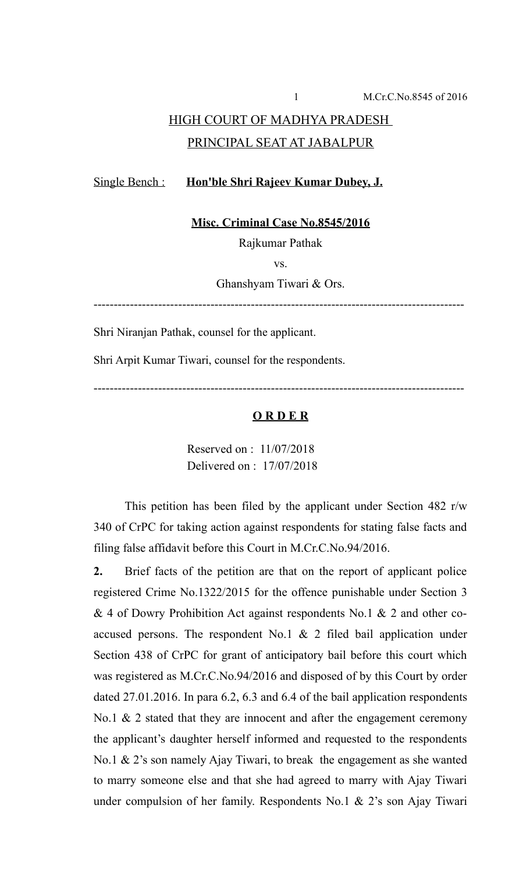# HIGH COURT OF MADHYA PRADESH PRINCIPAL SEAT AT JABALPUR

### Single Bench : **Hon'ble Shri Rajeev Kumar Dubey, J.**

**Misc. Criminal Case No.8545/2016**

Rajkumar Pathak

vs.

Ghanshyam Tiwari & Ors.

--------------------------------------------------------------------------------------------

Shri Niranjan Pathak, counsel for the applicant.

Shri Arpit Kumar Tiwari, counsel for the respondents.

--------------------------------------------------------------------------------------------

#### **O R D E R**

Reserved on : 11/07/2018 Delivered on : 17/07/2018

This petition has been filed by the applicant under Section 482 r/w 340 of CrPC for taking action against respondents for stating false facts and filing false affidavit before this Court in M.Cr.C.No.94/2016.

**2.** Brief facts of the petition are that on the report of applicant police registered Crime No.1322/2015 for the offence punishable under Section 3 & 4 of Dowry Prohibition Act against respondents No.1 & 2 and other coaccused persons. The respondent No.1  $\&$  2 filed bail application under Section 438 of CrPC for grant of anticipatory bail before this court which was registered as M.Cr.C.No.94/2016 and disposed of by this Court by order dated 27.01.2016. In para 6.2, 6.3 and 6.4 of the bail application respondents No.1  $\&$  2 stated that they are innocent and after the engagement ceremony the applicant's daughter herself informed and requested to the respondents No.1 & 2's son namely Ajay Tiwari, to break the engagement as she wanted to marry someone else and that she had agreed to marry with Ajay Tiwari under compulsion of her family. Respondents No.1 & 2's son Ajay Tiwari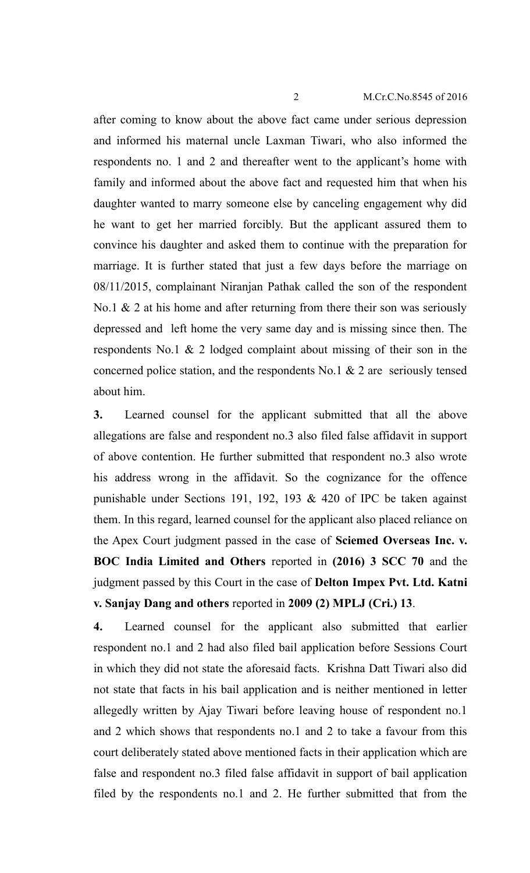#### 2 M.Cr.C.No.8545 of 2016

after coming to know about the above fact came under serious depression and informed his maternal uncle Laxman Tiwari, who also informed the respondents no. 1 and 2 and thereafter went to the applicant's home with family and informed about the above fact and requested him that when his daughter wanted to marry someone else by canceling engagement why did he want to get her married forcibly. But the applicant assured them to convince his daughter and asked them to continue with the preparation for marriage. It is further stated that just a few days before the marriage on 08/11/2015, complainant Niranjan Pathak called the son of the respondent No.1  $\&$  2 at his home and after returning from there their son was seriously depressed and left home the very same day and is missing since then. The respondents No.1 & 2 lodged complaint about missing of their son in the concerned police station, and the respondents No.1  $\&$  2 are seriously tensed about him.

**3.** Learned counsel for the applicant submitted that all the above allegations are false and respondent no.3 also filed false affidavit in support of above contention. He further submitted that respondent no.3 also wrote his address wrong in the affidavit. So the cognizance for the offence punishable under Sections 191, 192, 193 & 420 of IPC be taken against them. In this regard, learned counsel for the applicant also placed reliance on the Apex Court judgment passed in the case of **Sciemed Overseas Inc. v. BOC India Limited and Others** reported in **(2016) 3 SCC 70** and the judgment passed by this Court in the case of **Delton Impex Pvt. Ltd. Katni v. Sanjay Dang and others** reported in **2009 (2) MPLJ (Cri.) 13**.

**4.** Learned counsel for the applicant also submitted that earlier respondent no.1 and 2 had also filed bail application before Sessions Court in which they did not state the aforesaid facts. Krishna Datt Tiwari also did not state that facts in his bail application and is neither mentioned in letter allegedly written by Ajay Tiwari before leaving house of respondent no.1 and 2 which shows that respondents no.1 and 2 to take a favour from this court deliberately stated above mentioned facts in their application which are false and respondent no.3 filed false affidavit in support of bail application filed by the respondents no.1 and 2. He further submitted that from the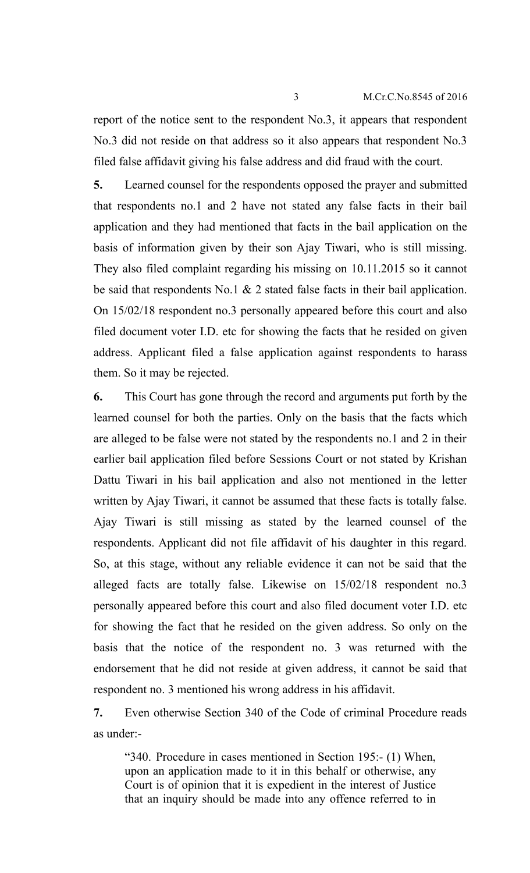report of the notice sent to the respondent No.3, it appears that respondent No.3 did not reside on that address so it also appears that respondent No.3 filed false affidavit giving his false address and did fraud with the court.

**5.** Learned counsel for the respondents opposed the prayer and submitted that respondents no.1 and 2 have not stated any false facts in their bail application and they had mentioned that facts in the bail application on the basis of information given by their son Ajay Tiwari, who is still missing. They also filed complaint regarding his missing on 10.11.2015 so it cannot be said that respondents No.1  $\&$  2 stated false facts in their bail application. On 15/02/18 respondent no.3 personally appeared before this court and also filed document voter I.D. etc for showing the facts that he resided on given address. Applicant filed a false application against respondents to harass them. So it may be rejected.

**6.** This Court has gone through the record and arguments put forth by the learned counsel for both the parties. Only on the basis that the facts which are alleged to be false were not stated by the respondents no.1 and 2 in their earlier bail application filed before Sessions Court or not stated by Krishan Dattu Tiwari in his bail application and also not mentioned in the letter written by Ajay Tiwari, it cannot be assumed that these facts is totally false. Ajay Tiwari is still missing as stated by the learned counsel of the respondents. Applicant did not file affidavit of his daughter in this regard. So, at this stage, without any reliable evidence it can not be said that the alleged facts are totally false. Likewise on 15/02/18 respondent no.3 personally appeared before this court and also filed document voter I.D. etc for showing the fact that he resided on the given address. So only on the basis that the notice of the respondent no. 3 was returned with the endorsement that he did not reside at given address, it cannot be said that respondent no. 3 mentioned his wrong address in his affidavit.

**7.** Even otherwise Section 340 of the Code of criminal Procedure reads as under:-

"340. Procedure in cases mentioned in Section 195:- (1) When, upon an application made to it in this behalf or otherwise, any Court is of opinion that it is expedient in the interest of Justice that an inquiry should be made into any offence referred to in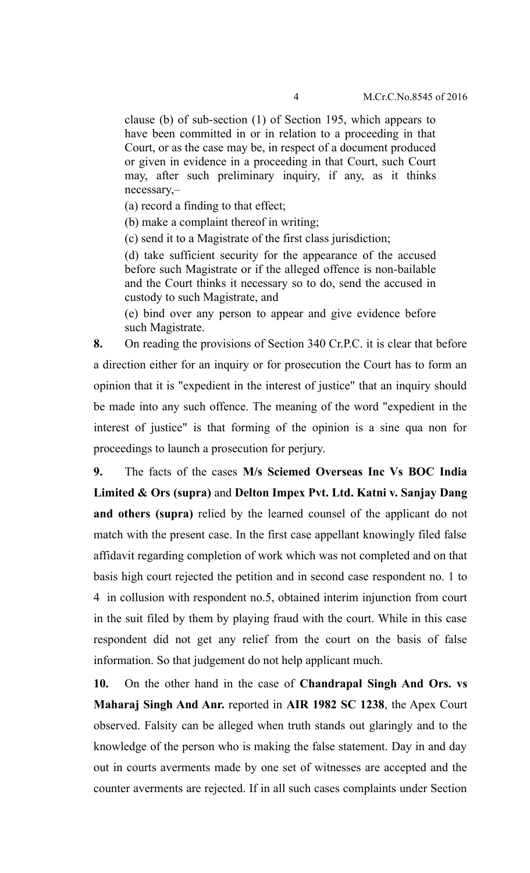clause (b) of sub-section (1) of Section 195, which appears to have been committed in or in relation to a proceeding in that Court, or as the case may be, in respect of a document produced or given in evidence in a proceeding in that Court, such Court may, after such preliminary inquiry, if any, as it thinks necessary,–

(a) record a finding to that effect;

(b) make a complaint thereof in writing;

(c) send it to a Magistrate of the first class jurisdiction;

(d) take sufficient security for the appearance of the accused before such Magistrate or if the alleged offence is non-bailable and the Court thinks it necessary so to do, send the accused in custody to such Magistrate, and

(e) bind over any person to appear and give evidence before such Magistrate.

**8.** On reading the provisions of Section 340 Cr.P.C. it is clear that before a direction either for an inquiry or for prosecution the Court has to form an opinion that it is "expedient in the interest of justice" that an inquiry should be made into any such offence. The meaning of the word "expedient in the interest of justice" is that forming of the opinion is a sine qua non for proceedings to launch a prosecution for perjury.

**9.** The facts of the cases **M/s Sciemed Overseas Inc Vs BOC India Limited & Ors (supra)** and **Delton Impex Pvt. Ltd. Katni v. Sanjay Dang and others (supra)** relied by the learned counsel of the applicant do not match with the present case. In the first case appellant knowingly filed false affidavit regarding completion of work which was not completed and on that basis high court rejected the petition and in second case respondent no. 1 to 4 in collusion with respondent no.5, obtained interim injunction from court in the suit filed by them by playing fraud with the court. While in this case respondent did not get any relief from the court on the basis of false information. So that judgement do not help applicant much.

**10.** On the other hand in the case of **Chandrapal Singh And Ors. vs Maharaj Singh And Anr.** reported in **AIR 1982 SC 1238**, the Apex Court observed. Falsity can be alleged when truth stands out glaringly and to the knowledge of the person who is making the false statement. Day in and day out in courts averments made by one set of witnesses are accepted and the counter averments are rejected. If in all such cases complaints under Section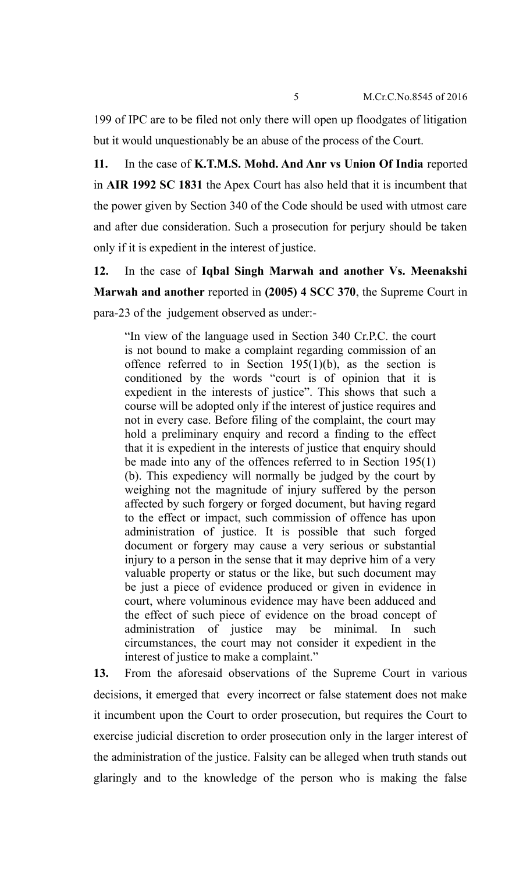199 of IPC are to be filed not only there will open up floodgates of litigation but it would unquestionably be an abuse of the process of the Court.

**11.** In the case of **K.T.M.S. Mohd. And Anr vs Union Of India** reported in **AIR 1992 SC 1831** the Apex Court has also held that it is incumbent that the power given by Section 340 of the Code should be used with utmost care and after due consideration. Such a prosecution for perjury should be taken only if it is expedient in the interest of justice.

**12.** In the case of **Iqbal Singh Marwah and another Vs. Meenakshi Marwah and another** reported in **(2005) 4 SCC 370**, the Supreme Court in para-23 of the judgement observed as under:-

"In view of the language used in Section 340 Cr.P.C. the court is not bound to make a complaint regarding commission of an offence referred to in Section 195(1)(b), as the section is conditioned by the words "court is of opinion that it is expedient in the interests of justice". This shows that such a course will be adopted only if the interest of justice requires and not in every case. Before filing of the complaint, the court may hold a preliminary enquiry and record a finding to the effect that it is expedient in the interests of justice that enquiry should be made into any of the offences referred to in Section 195(1) (b). This expediency will normally be judged by the court by weighing not the magnitude of injury suffered by the person affected by such forgery or forged document, but having regard to the effect or impact, such commission of offence has upon administration of justice. It is possible that such forged document or forgery may cause a very serious or substantial injury to a person in the sense that it may deprive him of a very valuable property or status or the like, but such document may be just a piece of evidence produced or given in evidence in court, where voluminous evidence may have been adduced and the effect of such piece of evidence on the broad concept of administration of justice may be minimal. In such circumstances, the court may not consider it expedient in the interest of justice to make a complaint."

**13.** From the aforesaid observations of the Supreme Court in various decisions, it emerged that every incorrect or false statement does not make it incumbent upon the Court to order prosecution, but requires the Court to exercise judicial discretion to order prosecution only in the larger interest of the administration of the justice. Falsity can be alleged when truth stands out glaringly and to the knowledge of the person who is making the false